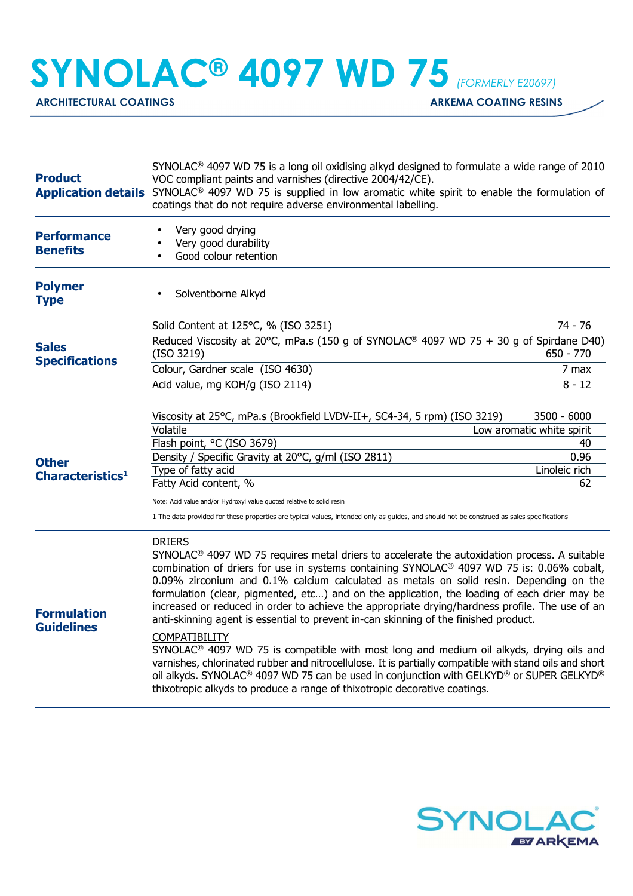**SYNOLAC® 4097 WD 75** *(FORMERLY E20697)*

ARCHITECTURAL COATINGS **ARKEMA COATING RESINS** 

| <b>Product</b>                               | SYNOLAC <sup>®</sup> 4097 WD 75 is a long oil oxidising alkyd designed to formulate a wide range of 2010<br>VOC compliant paints and varnishes (directive 2004/42/CE).<br><b>Application details</b> SYNOLAC <sup>®</sup> 4097 WD 75 is supplied in low aromatic white spirit to enable the formulation of<br>coatings that do not require adverse environmental labelling.                                                                                                                                                                                                                                                                                                                                                                                                                                                                                                                                                                                                                                                                                            |                                 |
|----------------------------------------------|------------------------------------------------------------------------------------------------------------------------------------------------------------------------------------------------------------------------------------------------------------------------------------------------------------------------------------------------------------------------------------------------------------------------------------------------------------------------------------------------------------------------------------------------------------------------------------------------------------------------------------------------------------------------------------------------------------------------------------------------------------------------------------------------------------------------------------------------------------------------------------------------------------------------------------------------------------------------------------------------------------------------------------------------------------------------|---------------------------------|
| <b>Performance</b><br><b>Benefits</b>        | Very good drying<br>Very good durability<br>Good colour retention                                                                                                                                                                                                                                                                                                                                                                                                                                                                                                                                                                                                                                                                                                                                                                                                                                                                                                                                                                                                      |                                 |
| <b>Polymer</b><br><b>Type</b>                | Solventborne Alkyd                                                                                                                                                                                                                                                                                                                                                                                                                                                                                                                                                                                                                                                                                                                                                                                                                                                                                                                                                                                                                                                     |                                 |
| <b>Sales</b><br><b>Specifications</b>        | Solid Content at 125°C, % (ISO 3251)                                                                                                                                                                                                                                                                                                                                                                                                                                                                                                                                                                                                                                                                                                                                                                                                                                                                                                                                                                                                                                   | 74 - 76                         |
|                                              | Reduced Viscosity at 20°C, mPa.s (150 g of SYNOLAC <sup>®</sup> 4097 WD 75 + 30 g of Spirdane D40)<br>(ISO 3219)                                                                                                                                                                                                                                                                                                                                                                                                                                                                                                                                                                                                                                                                                                                                                                                                                                                                                                                                                       | $650 - 770$                     |
|                                              | Colour, Gardner scale (ISO 4630)                                                                                                                                                                                                                                                                                                                                                                                                                                                                                                                                                                                                                                                                                                                                                                                                                                                                                                                                                                                                                                       | 7 max                           |
|                                              | Acid value, mg KOH/g (ISO 2114)                                                                                                                                                                                                                                                                                                                                                                                                                                                                                                                                                                                                                                                                                                                                                                                                                                                                                                                                                                                                                                        | $8 - 12$                        |
| <b>Other</b><br>Characteristics <sup>1</sup> | Viscosity at 25°C, mPa.s (Brookfield LVDV-II+, SC4-34, 5 rpm) (ISO 3219)                                                                                                                                                                                                                                                                                                                                                                                                                                                                                                                                                                                                                                                                                                                                                                                                                                                                                                                                                                                               | 3500 - 6000                     |
|                                              | Volatile<br>Flash point, °C (ISO 3679)                                                                                                                                                                                                                                                                                                                                                                                                                                                                                                                                                                                                                                                                                                                                                                                                                                                                                                                                                                                                                                 | Low aromatic white spirit<br>40 |
|                                              | Density / Specific Gravity at 20°C, g/ml (ISO 2811)                                                                                                                                                                                                                                                                                                                                                                                                                                                                                                                                                                                                                                                                                                                                                                                                                                                                                                                                                                                                                    | 0.96                            |
|                                              | Type of fatty acid                                                                                                                                                                                                                                                                                                                                                                                                                                                                                                                                                                                                                                                                                                                                                                                                                                                                                                                                                                                                                                                     | Linoleic rich                   |
|                                              | Fatty Acid content, %                                                                                                                                                                                                                                                                                                                                                                                                                                                                                                                                                                                                                                                                                                                                                                                                                                                                                                                                                                                                                                                  | 62                              |
|                                              | Note: Acid value and/or Hydroxyl value quoted relative to solid resin                                                                                                                                                                                                                                                                                                                                                                                                                                                                                                                                                                                                                                                                                                                                                                                                                                                                                                                                                                                                  |                                 |
|                                              | 1 The data provided for these properties are typical values, intended only as guides, and should not be construed as sales specifications                                                                                                                                                                                                                                                                                                                                                                                                                                                                                                                                                                                                                                                                                                                                                                                                                                                                                                                              |                                 |
| <b>Formulation</b><br><b>Guidelines</b>      | <b>DRIERS</b><br>SYNOLAC <sup>®</sup> 4097 WD 75 requires metal driers to accelerate the autoxidation process. A suitable<br>combination of driers for use in systems containing SYNOLAC <sup>®</sup> 4097 WD 75 is: 0.06% cobalt,<br>0.09% zirconium and 0.1% calcium calculated as metals on solid resin. Depending on the<br>formulation (clear, pigmented, etc) and on the application, the loading of each drier may be<br>increased or reduced in order to achieve the appropriate drying/hardness profile. The use of an<br>anti-skinning agent is essential to prevent in-can skinning of the finished product.<br>COMPATIBILITY<br>SYNOLAC <sup>®</sup> 4097 WD 75 is compatible with most long and medium oil alkyds, drying oils and<br>varnishes, chlorinated rubber and nitrocellulose. It is partially compatible with stand oils and short<br>oil alkyds. SYNOLAC <sup>®</sup> 4097 WD 75 can be used in conjunction with GELKYD <sup>®</sup> or SUPER GELKYD <sup>®</sup><br>thixotropic alkyds to produce a range of thixotropic decorative coatings. |                                 |